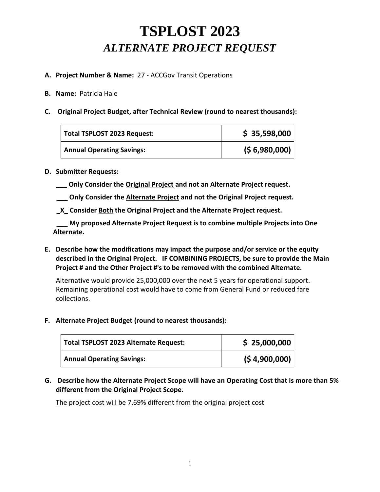# **TSPLOST 2023**  *ALTERNATE PROJECT REQUEST*

### **A. Project Number & Name:** 27 - ACCGov Transit Operations

#### **B. Name:** Patricia Hale

**C. Original Project Budget, after Technical Review (round to nearest thousands):**

| Total TSPLOST 2023 Request:      | \$35,598,000 |
|----------------------------------|--------------|
| <b>Annual Operating Savings:</b> | (56,980,000) |

### **D. Submitter Requests:**

- **\_\_\_ Only Consider the Original Project and not an Alternate Project request.**
- **\_\_\_ Only Consider the Alternate Project and not the Original Project request.**
- **\_X\_ Consider Both the Original Project and the Alternate Project request.**

 **\_\_\_ My proposed Alternate Project Request is to combine multiple Projects into One Alternate.**

**E. Describe how the modifications may impact the purpose and/or service or the equity described in the Original Project. IF COMBINING PROJECTS, be sure to provide the Main Project # and the Other Project #'s to be removed with the combined Alternate.**

Alternative would provide 25,000,000 over the next 5 years for operational support. Remaining operational cost would have to come from General Fund or reduced fare collections.

### **F. Alternate Project Budget (round to nearest thousands):**

| Total TSPLOST 2023 Alternate Request: | \$25,000,000 |
|---------------------------------------|--------------|
| <b>Annual Operating Savings:</b>      | (54,900,000) |

**G. Describe how the Alternate Project Scope will have an Operating Cost that is more than 5% different from the Original Project Scope.**

The project cost will be 7.69% different from the original project cost